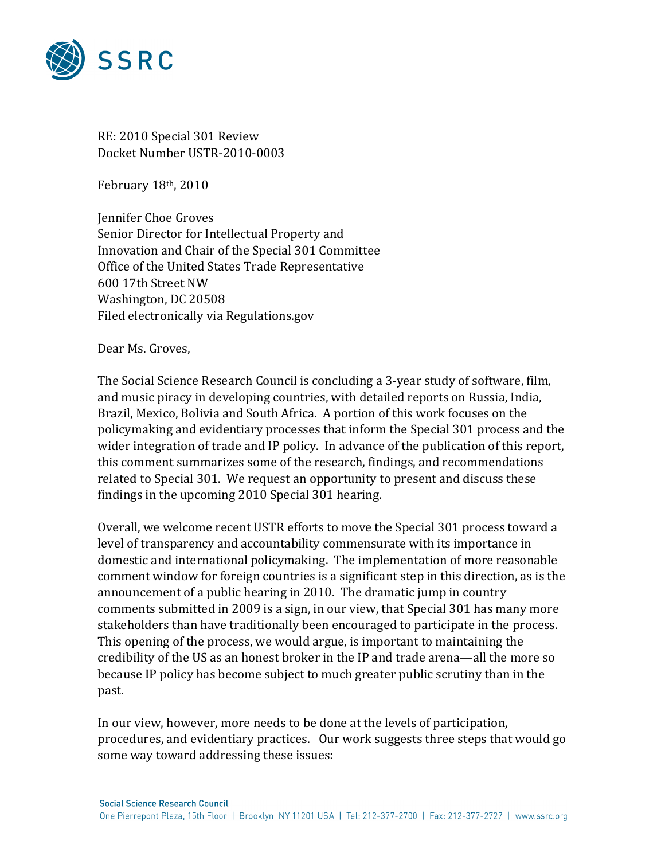

RE: 2010 Special 301 Review Docket Number USTR-2010-0003

February 18th, 2010

**Jennifer Choe Groves** Senior Director for Intellectual Property and Innovation and Chair of the Special 301 Committee Office of the United States Trade Representative 600 17th Street NW Washington, DC 20508 Filed electronically via Regulations.gov

Dear Ms. Groves,

The Social Science Research Council is concluding a 3-year study of software, film, and music piracy in developing countries, with detailed reports on Russia, India, Brazil, Mexico, Bolivia and South Africa. A portion of this work focuses on the policymaking and evidentiary processes that inform the Special 301 process and the wider integration of trade and IP policy. In advance of the publication of this report, this comment summarizes some of the research, findings, and recommendations related to Special 301. We request an opportunity to present and discuss these findings in the upcoming  $2010$  Special 301 hearing.

Overall, we welcome recent USTR efforts to move the Special 301 process toward a level of transparency and accountability commensurate with its importance in domestic and international policymaking. The implementation of more reasonable comment window for foreign countries is a significant step in this direction, as is the announcement of a public hearing in 2010. The dramatic jump in country comments submitted in 2009 is a sign, in our view, that Special 301 has many more stakeholders than have traditionally been encouraged to participate in the process. This opening of the process, we would argue, is important to maintaining the credibility of the US as an honest broker in the IP and trade arena—all the more so because IP policy has become subject to much greater public scrutiny than in the past.

In our view, however, more needs to be done at the levels of participation, procedures, and evidentiary practices. Our work suggests three steps that would go some way toward addressing these issues: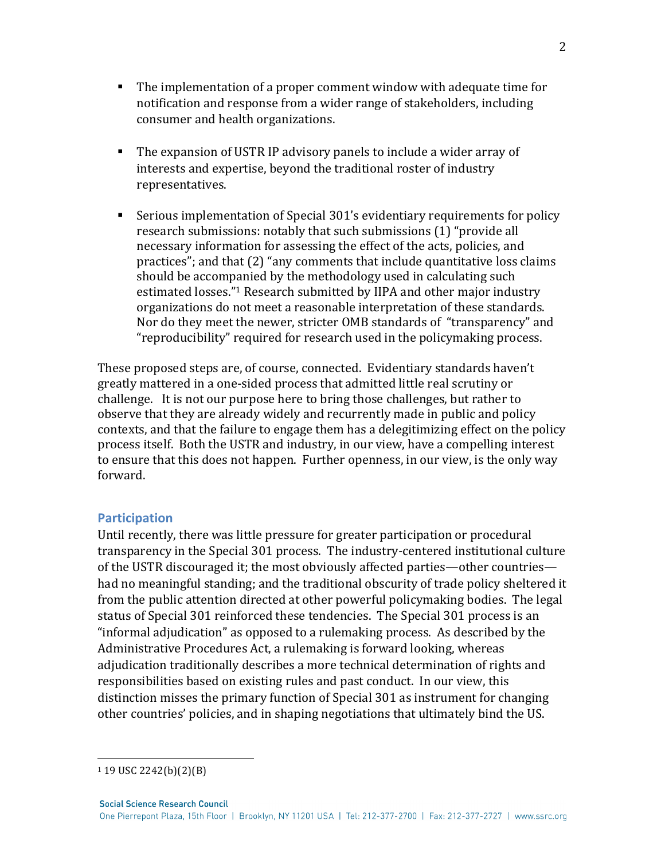- The implementation of a proper comment window with adequate time for notification and response from a wider range of stakeholders, including consumer and health organizations.
- $\blacksquare$  The expansion of USTR IP advisory panels to include a wider array of interests and expertise, beyond the traditional roster of industry representatives.
- Serious implementation of Special 301's evidentiary requirements for policy research submissions: notably that such submissions (1) "provide all necessary information for assessing the effect of the acts, policies, and practices"; and that (2) "any comments that include quantitative loss claims should be accompanied by the methodology used in calculating such estimated losses."<sup>1</sup> Research submitted by IIPA and other major industry organizations do not meet a reasonable interpretation of these standards. Nor do they meet the newer, stricter OMB standards of "transparency" and " reproducibility" required for research used in the policymaking process.

These proposed steps are, of course, connected. Evidentiary standards haven't greatly mattered in a one-sided process that admitted little real scrutiny or challenge. It is not our purpose here to bring those challenges, but rather to observe that they are already widely and recurrently made in public and policy contexts, and that the failure to engage them has a delegitimizing effect on the policy process itself. Both the USTR and industry, in our view, have a compelling interest to ensure that this does not happen. Further openness, in our view, is the only way forward.

# **Participation**

Until recently, there was little pressure for greater participation or procedural transparency in the Special 301 process. The industry-centered institutional culture of the USTR discouraged it; the most obviously affected parties—other countries had no meaningful standing; and the traditional obscurity of trade policy sheltered it from the public attention directed at other powerful policymaking bodies. The legal status of Special 301 reinforced these tendencies. The Special 301 process is an "informal adjudication" as opposed to a rulemaking process. As described by the Administrative Procedures Act, a rulemaking is forward looking, whereas adjudication traditionally describes a more technical determination of rights and responsibilities based on existing rules and past conduct. In our view, this distinction misses the primary function of Special 301 as instrument for changing other countries' policies, and in shaping negotiations that ultimately bind the US.

 $1$  19 USC 2242(b)(2)(B)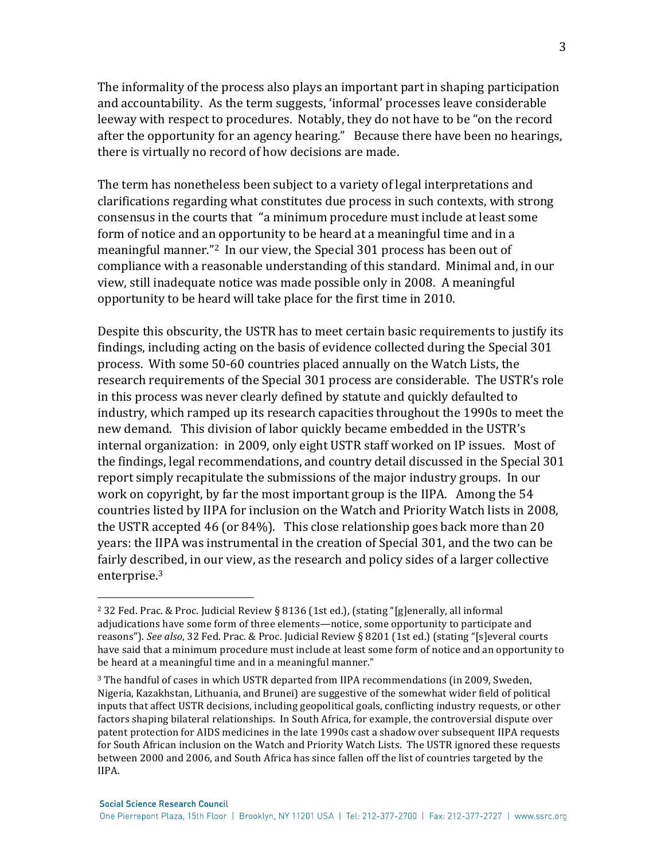The informality of the process also plays an important part in shaping participation and accountability. As the term suggests, 'informal' processes leave considerable leeway with respect to procedures. Notably, they do not have to be "on the record after the opportunity for an agency hearing." Because there have been no hearings, there is virtually no record of how decisions are made.

The term has nonetheless been subject to a variety of legal interpretations and clarifications regarding what constitutes due process in such contexts, with strong consensus in the courts that "a minimum procedure must include at least some form of notice and an opportunity to be heard at a meaningful time and in a meaningful manner."<sup>2</sup> In our view, the Special 301 process has been out of compliance with a reasonable understanding of this standard. Minimal and, in our view, still inadequate notice was made possible only in 2008. A meaningful opportunity to be heard will take place for the first time in 2010.

Despite this obscurity, the USTR has to meet certain basic requirements to justify its findings, including acting on the basis of evidence collected during the Special 301 process. With some 50-60 countries placed annually on the Watch Lists, the research requirements of the Special 301 process are considerable. The USTR's role in this process was never clearly defined by statute and quickly defaulted to industry, which ramped up its research capacities throughout the 1990s to meet the new demand. This division of labor quickly became embedded in the USTR's internal organization: in 2009, only eight USTR staff worked on IP issues. Most of the findings, legal recommendations, and country detail discussed in the Special 301 report simply recapitulate the submissions of the major industry groups. In our work on copyright, by far the most important group is the IIPA. Among the 54 countries listed by IIPA for inclusion on the Watch and Priority Watch lists in 2008, the USTR accepted 46 (or 84%). This close relationship goes back more than 20 years: the IIPA was instrumental in the creation of Special 301, and the two can be fairly described, in our view, as the research and policy sides of a larger collective enterprise.3

<sup>&</sup>lt;sup>2</sup> 32 Fed. Prac. & Proc. Judicial Review § 8136 (1st ed.), (stating "[g]enerally, all informal adjudications have some form of three elements—notice, some opportunity to participate and reasons"). See also, 32 Fed. Prac. & Proc. Judicial Review § 8201 (1st ed.) (stating "[s]everal courts have said that a minimum procedure must include at least some form of notice and an opportunity to be heard at a meaningful time and in a meaningful manner."

 $3$  The handful of cases in which USTR departed from IIPA recommendations (in 2009, Sweden, Nigeria, Kazakhstan, Lithuania, and Brunei) are suggestive of the somewhat wider field of political inputs that affect USTR decisions, including geopolitical goals, conflicting industry requests, or other factors shaping bilateral relationships. In South Africa, for example, the controversial dispute over patent protection for AIDS medicines in the late 1990s cast a shadow over subsequent IIPA requests for South African inclusion on the Watch and Priority Watch Lists. The USTR ignored these requests between 2000 and 2006, and South Africa has since fallen off the list of countries targeted by the IIPA.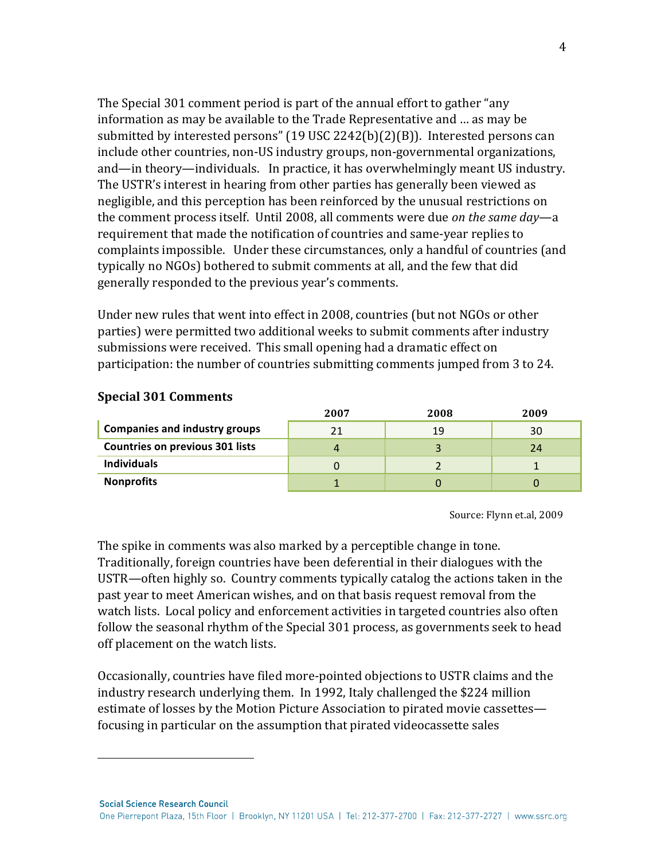The Special 301 comment period is part of the annual effort to gather "any" information as may be available to the Trade Representative and … as may be submitted by interested persons" (19 USC 2242(b)(2)(B)). Interested persons can include other countries, non-US industry groups, non-governmental organizations, and—in theory—individuals. In practice, it has overwhelmingly meant US industry. The USTR's interest in hearing from other parties has generally been viewed as negligible, and this perception has been reinforced by the unusual restrictions on the comment process itself. Until 2008, all comments were due *on the same day*—a requirement that made the notification of countries and same-year replies to complaints impossible. Under these circumstances, only a handful of countries (and typically no NGOs) bothered to submit comments at all, and the few that did generally responded to the previous year's comments.

Under new rules that went into effect in 2008, countries (but not NGOs or other parties) were permitted two additional weeks to submit comments after industry submissions were received. This small opening had a dramatic effect on participation: the number of countries submitting comments jumped from 3 to 24.

|                                        | 2007 | 2008 | 2009 |
|----------------------------------------|------|------|------|
| <b>Companies and industry groups</b>   |      | 19   | 30   |
| <b>Countries on previous 301 lists</b> |      |      | 24   |
| <b>Individuals</b>                     |      |      |      |
| <b>Nonprofits</b>                      |      |      |      |

### **Special 301 Comments**

!!!!!!!!!!!!!!!!!!!!!!!!!!!!!!!!!!!!!!!!!!!!!!!!!!!!!!!

Source: Flynn et.al, 2009

The spike in comments was also marked by a perceptible change in tone. Traditionally, foreign countries have been deferential in their dialogues with the USTR—often highly so. Country comments typically catalog the actions taken in the past year to meet American wishes, and on that basis request removal from the watch lists. Local policy and enforcement activities in targeted countries also often follow the seasonal rhythm of the Special 301 process, as governments seek to head off placement on the watch lists.

Occasionally, countries have filed more-pointed objections to USTR claims and the industry research underlying them. In 1992, Italy challenged the \$224 million estimate of losses by the Motion Picture Association to pirated movie cassettes focusing in particular on the assumption that pirated videocassette sales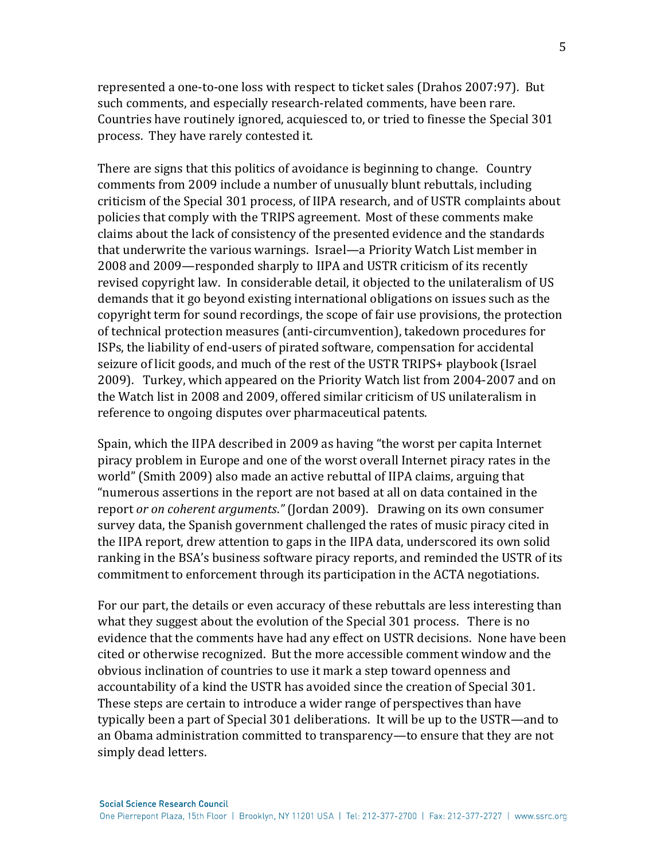represented a one-to-one loss with respect to ticket sales (Drahos 2007:97). But such comments, and especially research-related comments, have been rare. Countries have routinely ignored, acquiesced to, or tried to finesse the Special 301 process. They have rarely contested it.

There are signs that this politics of avoidance is beginning to change. Country comments from 2009 include a number of unusually blunt rebuttals, including criticism of the Special 301 process, of IIPA research, and of USTR complaints about policies that comply with the TRIPS agreement. Most of these comments make claims about the lack of consistency of the presented evidence and the standards that underwrite the various warnings. Israel—a Priority Watch List member in 2008 and 2009—responded sharply to IIPA and USTR criticism of its recently revised copyright law. In considerable detail, it objected to the unilateralism of US demands that it go beyond existing international obligations on issues such as the copyright term for sound recordings, the scope of fair use provisions, the protection of technical protection measures (anti-circumvention), takedown procedures for ISPs, the liability of end-users of pirated software, compensation for accidental seizure of licit goods, and much of the rest of the USTR TRIPS+ playbook (Israel 2009). Turkey, which appeared on the Priority Watch list from 2004-2007 and on the Watch list in 2008 and 2009, offered similar criticism of US unilateralism in reference to ongoing disputes over pharmaceutical patents.

Spain, which the IIPA described in 2009 as having "the worst per capita Internet piracy problem in Europe and one of the worst overall Internet piracy rates in the world" (Smith 2009) also made an active rebuttal of IIPA claims, arguing that "numerous assertions in the report are not based at all on data contained in the report *or on coherent arguments.*" (Jordan 2009). Drawing on its own consumer survey data, the Spanish government challenged the rates of music piracy cited in the IIPA report, drew attention to gaps in the IIPA data, underscored its own solid ranking in the BSA's business software piracy reports, and reminded the USTR of its commitment to enforcement through its participation in the ACTA negotiations.

For our part, the details or even accuracy of these rebuttals are less interesting than what they suggest about the evolution of the Special 301 process. There is no evidence that the comments have had any effect on USTR decisions. None have been cited or otherwise recognized. But the more accessible comment window and the obvious inclination of countries to use it mark a step toward openness and accountability of a kind the USTR has avoided since the creation of Special 301. These steps are certain to introduce a wider range of perspectives than have typically been a part of Special 301 deliberations. It will be up to the USTR—and to an Obama administration committed to transparency—to ensure that they are not simply dead letters.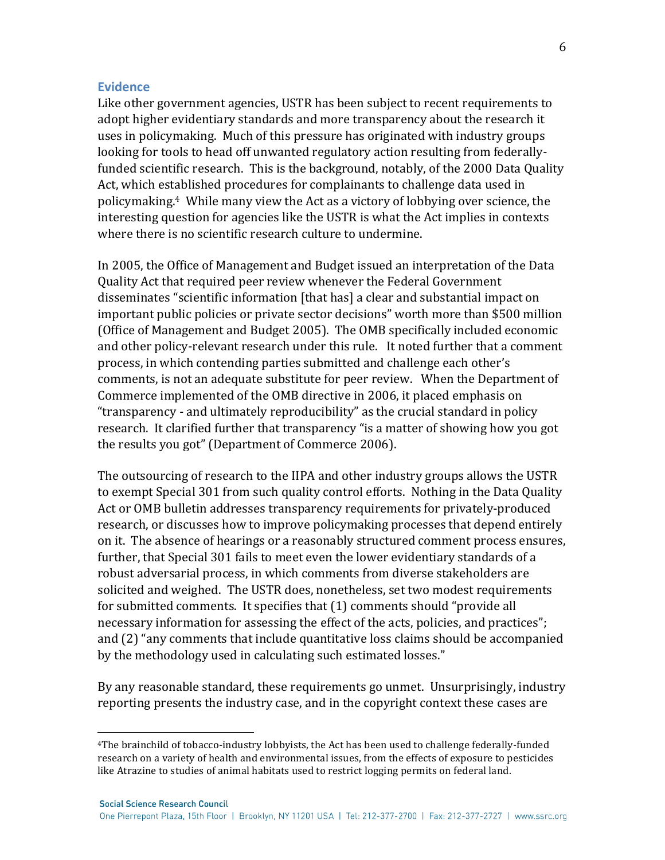## **Evidence**

Like other government agencies, USTR has been subject to recent requirements to  $\overline{a}$ adopt higher evidentiary standards and more transparency about the research it uses in policymaking. Much of this pressure has originated with industry groups looking for tools to head off unwanted regulatory action resulting from federallyfunded scientific research. This is the background, notably, of the 2000 Data Quality Act, which established procedures for complainants to challenge data used in policymaking.<sup>4</sup> While many view the Act as a victory of lobbying over science, the interesting question for agencies like the USTR is what the Act implies in contexts where there is no scientific research culture to undermine.

In 2005, the Office of Management and Budget issued an interpretation of the Data Quality Act that required peer review whenever the Federal Government disseminates "scientific information [that has] a clear and substantial impact on important public policies or private sector decisions" worth more than \$500 million (Office of Management and Budget 2005). The OMB specifically included economic and other policy-relevant research under this rule. It noted further that a comment process, in which contending parties submitted and challenge each other's comments, is not an adequate substitute for peer review. When the Department of Commerce implemented of the OMB directive in 2006, it placed emphasis on "transparency - and ultimately reproducibility" as the crucial standard in policy research. It clarified further that transparency "is a matter of showing how you got the results you got" (Department of Commerce 2006).

The outsourcing of research to the IIPA and other industry groups allows the USTR to exempt Special 301 from such quality control efforts. Nothing in the Data Quality Act or OMB bulletin addresses transparency requirements for privately-produced research, or discusses how to improve policymaking processes that depend entirely on it. The absence of hearings or a reasonably structured comment process ensures, further, that Special 301 fails to meet even the lower evidentiary standards of a robust adversarial process, in which comments from diverse stakeholders are solicited and weighed. The USTR does, nonetheless, set two modest requirements for submitted comments. It specifies that (1) comments should "provide all necessary information for assessing the effect of the acts, policies, and practices"; and (2) "any comments that include quantitative loss claims should be accompanied by the methodology used in calculating such estimated losses."

By any reasonable standard, these requirements go unmet. Unsurprisingly, industry reporting presents the industry case, and in the copyright context these cases are

<sup>&</sup>lt;sup>4</sup>The brainchild of tobacco-industry lobbyists, the Act has been used to challenge federally-funded research on a variety of health and environmental issues, from the effects of exposure to pesticides like Atrazine to studies of animal habitats used to restrict logging permits on federal land.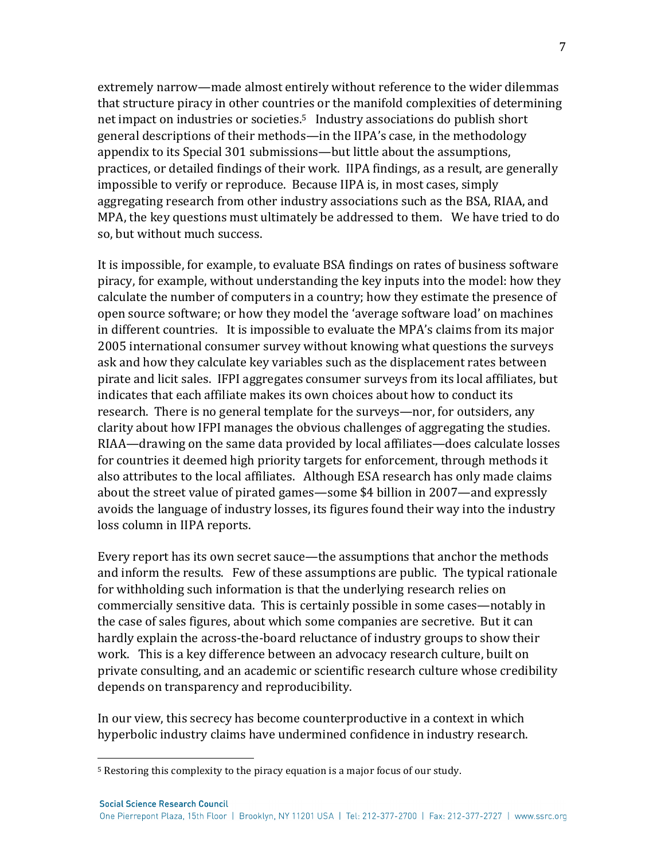extremely narrow—made almost entirely without reference to the wider dilemmas that structure piracy in other countries or the manifold complexities of determining net impact on industries or societies.<sup>5</sup> Industry associations do publish short general descriptions of their methods—in the IIPA's case, in the methodology appendix to its Special 301 submissions—but little about the assumptions, practices, or detailed findings of their work. IIPA findings, as a result, are generally impossible to verify or reproduce. Because IIPA is, in most cases, simply aggregating research from other industry associations such as the BSA, RIAA, and MPA, the key questions must ultimately be addressed to them. We have tried to do so, but without much success.

It is impossible, for example, to evaluate BSA findings on rates of business software piracy, for example, without understanding the key inputs into the model: how they calculate the number of computers in a country; how they estimate the presence of open source software; or how they model the 'average software load' on machines in different countries. It is impossible to evaluate the MPA's claims from its major 2005 international consumer survey without knowing what questions the surveys ask and how they calculate key variables such as the displacement rates between pirate and licit sales. IFPI aggregates consumer surveys from its local affiliates, but indicates that each affiliate makes its own choices about how to conduct its research. There is no general template for the surveys—nor, for outsiders, any clarity about how IFPI manages the obvious challenges of aggregating the studies. RIAA—drawing on the same data provided by local affiliates—does calculate losses for countries it deemed high priority targets for enforcement, through methods it also attributes to the local affiliates. Although ESA research has only made claims about the street value of pirated games—some \$4 billion in 2007—and expressly avoids the language of industry losses, its figures found their way into the industry loss column in IIPA reports.

Every report has its own secret sauce—the assumptions that anchor the methods and inform the results. Few of these assumptions are public. The typical rationale for withholding such information is that the underlying research relies on commercially sensitive data. This is certainly possible in some cases—notably in the case of sales figures, about which some companies are secretive. But it can hardly explain the across-the-board reluctance of industry groups to show their work. This is a key difference between an advocacy research culture, built on private consulting, and an academic or scientific research culture whose credibility depends on transparency and reproducibility.

In our view, this secrecy has become counterproductive in a context in which hyperbolic industry claims have undermined confidence in industry research.

<sup>&</sup>lt;sup>5</sup> Restoring this complexity to the piracy equation is a major focus of our study.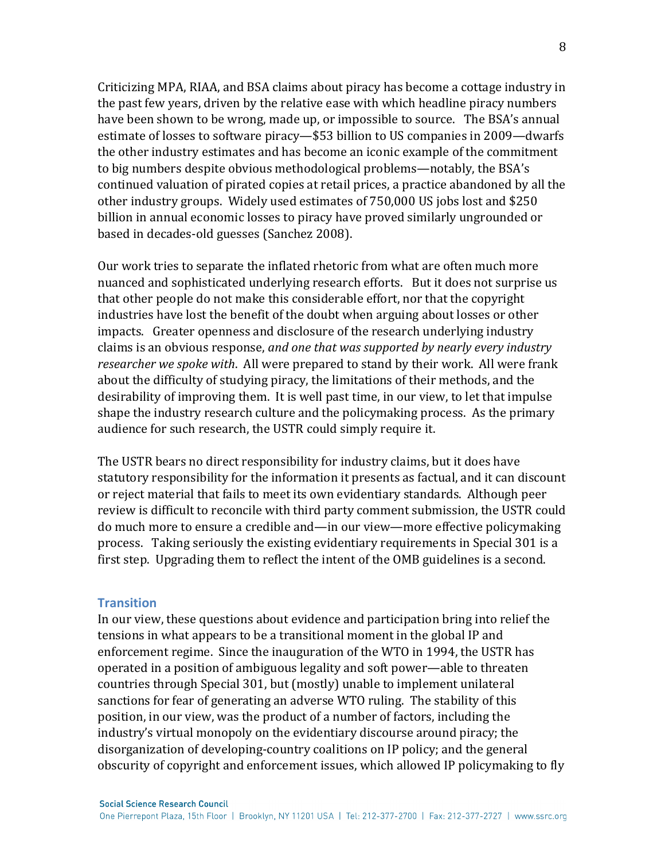Criticizing MPA, RIAA, and BSA claims about piracy has become a cottage industry in the past few years, driven by the relative ease with which headline piracy numbers have been shown to be wrong, made up, or impossible to source. The BSA's annual estimate of losses to software piracy—\$53 billion to US companies in 2009—dwarfs the other industry estimates and has become an iconic example of the commitment to big numbers despite obvious methodological problems—notably, the BSA's continued valuation of pirated copies at retail prices, a practice abandoned by all the other industry groups. Widely used estimates of 750,000 US jobs lost and \$250 billion in annual economic losses to piracy have proved similarly ungrounded or based in decades-old guesses (Sanchez 2008).

Our work tries to separate the inflated rhetoric from what are often much more nuanced and sophisticated underlying research efforts. But it does not surprise us that other people do not make this considerable effort, nor that the copyright industries have lost the benefit of the doubt when arguing about losses or other impacts. Greater openness and disclosure of the research underlying industry claims is an obvious response, *and one that was supported by nearly every industry researcher we spoke with.* All were prepared to stand by their work. All were frank about the difficulty of studying piracy, the limitations of their methods, and the desirability of improving them. It is well past time, in our view, to let that impulse shape the industry research culture and the policymaking process. As the primary audience for such research, the USTR could simply require it.

The USTR bears no direct responsibility for industry claims, but it does have statutory responsibility for the information it presents as factual, and it can discount or reject material that fails to meet its own evidentiary standards. Although peer review is difficult to reconcile with third party comment submission, the USTR could do much more to ensure a credible and—in our view—more effective policymaking process. Taking seriously the existing evidentiary requirements in Special 301 is a first step. Upgrading them to reflect the intent of the OMB guidelines is a second.

### **Transition**

In our view, these questions about evidence and participation bring into relief the tensions in what appears to be a transitional moment in the global IP and enforcement regime. Since the inauguration of the WTO in 1994, the USTR has operated in a position of ambiguous legality and soft power—able to threaten countries through Special 301, but (mostly) unable to implement unilateral sanctions for fear of generating an adverse WTO ruling. The stability of this position, in our view, was the product of a number of factors, including the industry's virtual monopoly on the evidentiary discourse around piracy; the disorganization of developing-country coalitions on IP policy; and the general obscurity of copyright and enforcement issues, which allowed IP policymaking to fly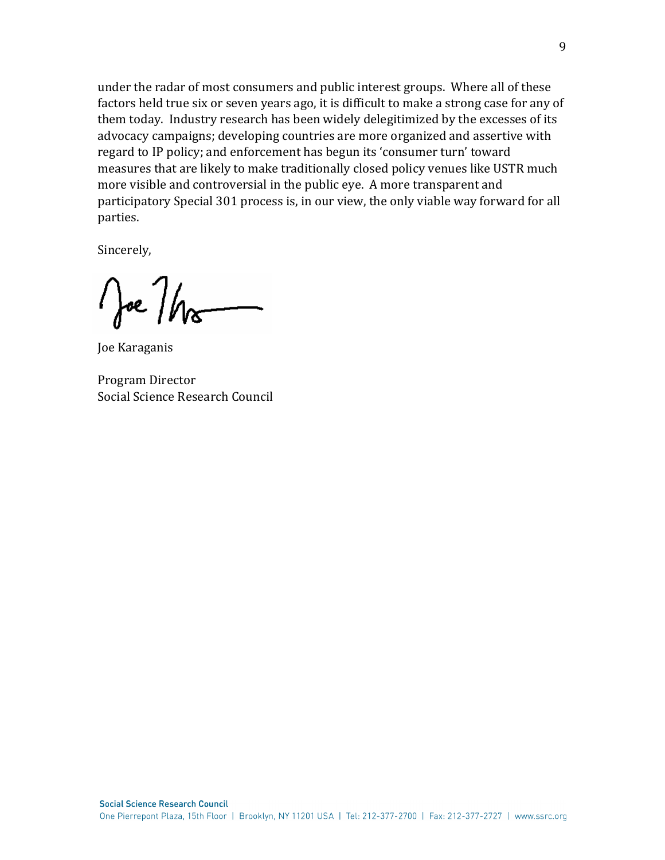under the radar of most consumers and public interest groups. Where all of these factors held true six or seven years ago, it is difficult to make a strong case for any of them today. Industry research has been widely delegitimized by the excesses of its advocacy campaigns; developing countries are more organized and assertive with regard to IP policy; and enforcement has begun its 'consumer turn' toward measures that are likely to make traditionally closed policy venues like USTR much more visible and controversial in the public eye. A more transparent and participatory Special 301 process is, in our view, the only viable way forward for all parties.

Sincerely,

Voe 7hr

Joe Karaganis

Program Director Social Science Research Council